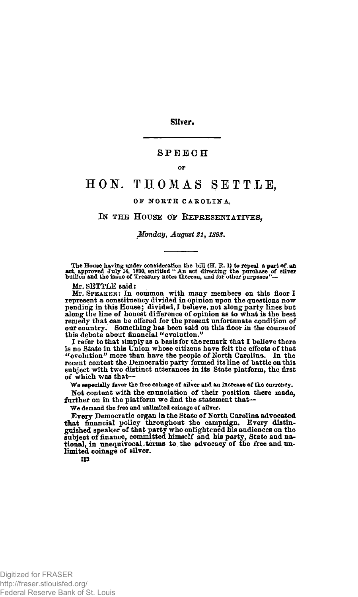**SilYer.** 

### **SPEEC H**

OP

# **HON . THOMA S SETTLE ,**

## OF NORTH CAROLINA,

#### IN THE HOUSE OF REPRESENTATIVES,

*Monday, August 21, 1893.* 

The House having under consideration the bill  $(H, R, 1)$  to repeal a part of an act, approved July 14, 1890, entitled " An act directing the purolase of silver bullion and the issue of Treasury notes thereon, and for other

Mr. SETTLE said:

Mr. SPEAKER: In common with many members on this floor I represent a constituency divided in opinion npon the questions now pending in this House; divided, I believe, not along party lines but<br>along the line of honest difference of opinion as to what is the best<br>remedy that can be offered for the present unfortunate condition of<br>our country. So

I refer to that simply as a basis for the remark that I believe there is no State in this Union whose citizens have felt the effects of that "evolution" more than have the people of Korth Carolina. In the recent contest the Democratic party formed its line of battle on this subject with two distinct utterances in its State platform, the first of which was that—

We especially favor the free coinage of silver and an increase of the currency.

Not content with the enunciation of their position there made, further on in the platform we find the statement that-

We demand the free and unlimited coinage of silver.

Every Democratic organ in the State of North Carolina advocated<br>that financial policy throughout the campaign. Every distin-<br>guished speaker of that party who enlightened his audiences on the<br>subject of finance, committed tional, in unequivocal,terms to the advocacy of the free and unlimited coinage of silver.

**113**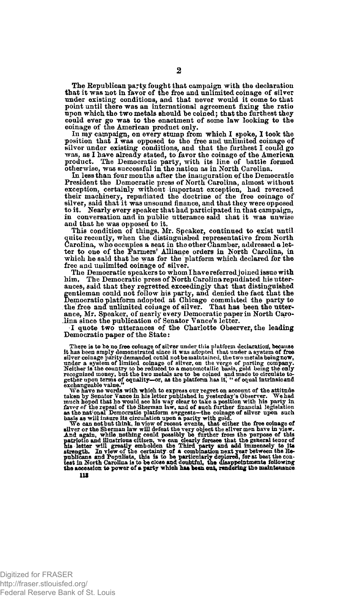The Republican party fought that campaign with the declaration that it was not in favor of tne free and unlimited coinage of silver under existing conditions, and that never would it come to that point until there was an international agreement fixing the ratio upon which the two metals should he coined; that the furthest they could ever go was to the enactment of some law looking to the coinage of the American product only.<br>In my campaign, on every stump from which I spoke, I took the

position that I was opposed to the free and unlimited coinage of silver under existing conditions, and that the furthest I could go was, as I have already stated; to favor the coinage of the American product. The Democratic party, with its line of battle formed otherwise, was successful in the nation as in North Carolina.

In less than four months after the inauguration of the Democratic President the Democratic press of North Carolina, almost without exception, certainly without important exception, had reversed their machinery, repudiated the doctrine of the free coinage of silver, said that it was unsound finance, and that they were opposed to it. Yearly every speake in conversation and in public utterance said xhat it was unwise and that he was opposed to it.

This condition of things, Mr. Speaker, continued to exist until<br>quite recently, when the distinguished representative from North<br>Carolina, who occupies a seat in the other Chamber, addressed a letter to one of the Farmers' Alliance orders in North Carolina, in which he said that he was for the platform which declared for the free and unlimited coinage of silver.

The Democratic speakers to whom I have referred joined issue with him. The Democratic press of North Carolina repudiated his utterances, said that they regretted exceedingly that that distinguished<br>gentleman could not follow his party, and denied the fact that the<br>Democratic platform adopted at Chicago committed the party to<br>the free and unlimited co ance, Mr. Speaker, of nearly every Democratic paper in North Caro-lina since the publication of Senator Vance's letter.

I quote two utterances of the Charlotte Observer, the leading Democratio paper of the State:

There is to be no free coinage of silver under this platform declaration, because it has been amply demonstrated since it was adjopted that under a system of free silver coinage parity demanded could not be maintained, th

gether upon terms of equality-or, as the platform has it, " of equal intrinsicand exchangeable value." We have no words with which to express our regret on account of the attitude taken by Senator Vance in his letter publ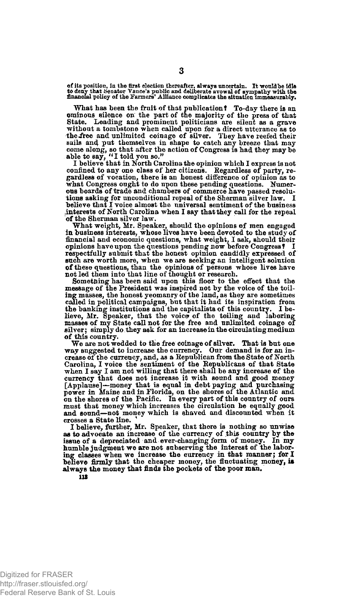of its position, in the first election thereafter, always uncertain. It would be idle<br>to deny that Senator Vance's public and deliberate avowal of sympathy with the<br>financial policy of the Farmers' Alliance complicates the

What has been the fruit of that publication? To-day there is an ominous silence on the part of the majority of the press of that State. Leading and prominent politicians are silent as a grave without a tombstone when called upon for a direct utterance as to the free and unlimited coinage of silver. They have reefed their sails and put themselves in shape to catch any breeze that may come along, so that after the action of Congress is had they may be able to say, "I told you so."<br>I believe that in North Carolina the opinion which I express

what Congress ought to do upon these pending questions. Numerous boards of trade and chambers of commerce have passed resolu-tions asking for unconditional repeal of the Sherman silver law. I believe that I voice almost the universal sentiment of the business interests of North Carolina when I say that they call for the repeal of the Sherman silver law.

What weight, Mr. Speaker, should the opinions of men engaged in business interests, whose lives have been devoted to the study of financial and economic questions, what weight, I ask, should their opinions have upon the questions pending now before Congress! I respectfully submit that the honest opinion candidly expressed of such are worth more, when we are seeking an intelligent solution of these questions, than the opinions of persons whose lives have not led them into that line of thought or research.

Something has been said upon this floor to the effect that the message of the President was inspired not by the voice of the toiling masses, the honest yeomanry of the land, as they are sometimes called in political campaigns, but that it had its inspiration from the banking institutions and the capitalists of this country. I believe, Mr. Speaker, that the voice of the toiling and laboring masses of my State call not for the free and unlimited coinage of silver; simply do they ask for an increase in the circulating medium of this country.

We are not wedded to the free coinage of silver. That is but one way suggested to increase the currency. Our demand is for an in-crease of the currency, and, as a Kepublican from the State of North Carolina, I voice the sentiment of the Republicans of that State when I say I am not willing that there shall be any increase of the currency that does not increase it with sound and good money [Applause]—money that is equal in debt paying and purchasing power in Maine and in Florida, on the shores of the Atlantic and on the shores of the Pacific. In every part of this country of ours must that money which increases the circulation be equally good and sound—not money which is shaved and discounted when it crosses a State line.

I believe, further, Mr. Speaker, that there is nothing so unwise as to advocate an increase of the currency of this country by the issue of a depreciated and ever-changing form of money. In my humble judgment we are not subserving the interest of the laboring classes when we increase the currency in that manner; for I believe firmly that the cheaper money, the fluctuating money, is always the money that finds the pockets of the poor man.

113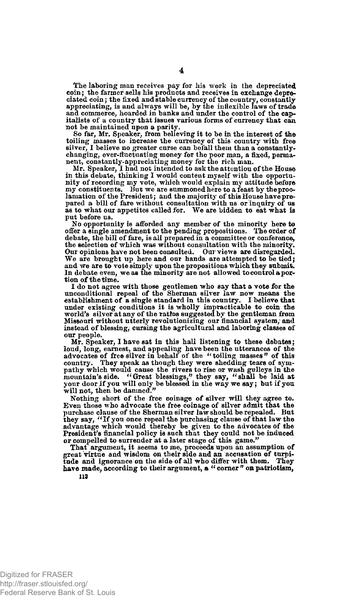The laboring man receives pay for his work in the depreciated coin; the farmer sells his products and receives in exchange depreciated coin; the fixed and stable currency of the country, constantly appreciating, is and always will be, by the inflexible laws of trade and commerce, hoarded in banks and under the control of the capitalists of a country that issues various forms of currency that can. not be maintained upon a parity.

So far, Mr. Speaker, from believing it to be in the interest of the toiling masses to increase the currency of this country with free silver, I believe no greater curse can befall them than a constantlychanging, ever-fluctuating money for the poor man, a fixed, perma-nent, constantly-appreciating money for the rich man.

Mr. Speaker, I had not intended to ask the attention of the House in this debate, thinking I would content myself with the opportunity of recording my vote, which would explain my attitude before my constituents. But we are summoned here to a feast by the proclamation of the President; and the majority of this House have prepared a bill of fare without consultation with us or inquiry of us as to what our appetites called for. We are bidden to eat what is put before us.

No opportunity is afforded any member of the minority here to offer a single amendment to the pending propositions. The order of debate, the bill of fare, is all prepared in a committee or conference,<br>the selection of which was without consultation with the minority.<br>Our opinions have not been consulted. Our views are disregarded. We are brought up here and our hands are attempted to be tied; and we are to vote simply upon the propositions which they submit. In debate even, we as the minority are not allowed to control a portion of the time.

I do not agree with those gentlemen who say that a vote for the unconditional repeal of the Sherman silver law now means the establishment of a single standard in this country. I believe that establishment of a single standard in this country. under existing conditions it is wholly impracticable to coin the world's silver at any of the ratios suggested by the gentlema n from Missouri without utterly revolutionizing our financial system, and instead of blessing, cursing the agricultural and laboring classes of our people.

Mr. Speaker, I have sat in this hall listening to these debates; loud, long, earnest, and appealing have been the utterances of the advocates of free silver in behalf of the "toiling masses" of this country. They speak as though they were shedding tears of sympathy which would cause the will not, then be damned."

Nothing short of the free coinage of silver will they agree to. Even those who advocate the free coinage of silver admit that the purchase clause of the Sherman silver law should be repealed. But<br>they say, "If you once repeal the purchasing clause of that law the<br>advantage which would thereby be given to the advocates of the<br>President's financial pol

That argument, it seems to me, proceeds upon an assumption of great virtue and wisdom on their side and an accusation of turpitude and ignorance on the side of all who differ with them. They have made, according to their argument, a "corner" on patriotism, **113**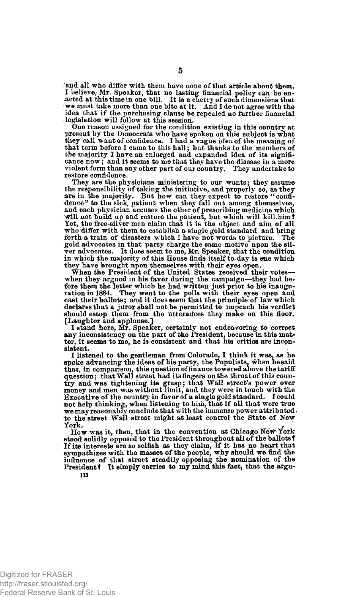and all who differ with them have none of that article about them. I believe, Mr. Speaker, that no lasting financial policy can be en-<br>acted at this time in one bill. It is a cherry of such dimensions that<br>we must take more than one bite at it. And I do not agree with the idea that if the purchasing clause be repealed no further financial legislation will follow at this session.

One reason assigned for the condition existing in this country at present by the Democrats who have spoken on this subject is what they call want of confidence. I had a vague idea of the meaning of that term before I came to this hall; but thanks to the members of the majority I have an enlarged and expanded idea of its significance now; and it seems to me that they have the disease in a more violent form than any other part of our country. They undertake to restore confidence.

They are the physicians ministering to our wants; they assume the responsibility of taking the initiative, and properly so, as they are in the majority. But how can they expect to restore "confidence" to the sick patient when they fall out among themselves,<br>and each physician accuses the other of prescribing medicine which will not build up and restore the patient, but which will kill.himf Yet, the free-silver men claim that it is the object and aim of all who differ with them to establish a single gold standard and bring<br>forth a train of disasters which I have not words to picture. The forth a train of disasters which I have not words to picture. gold advocates in that party charge the same motive upon the silver advocates. It does seem to-me, Mr. Speaker, that the condition in which the majority of this House finds itself to-day is ene which they have brought upon themselves with their eyes open.

When the President of the United States received their votes when they argued in his favor during the campaign—they had be-<br>fore them the letter which he had written just prior to his inaugu-<br>ration in 1884. They went to the polls with their eyes open and cast their ballots; and it does seem that the principle of law which declares that a juror shall not be permitted to impeach his verdict should estop them from the utterances they make on this floor. [Laughter and applause.]

I stand here, Mr. Speaker, certainly not endeavoring to correct any inconsistency on the part of the President, because in this matter, it seems to me, he is consistent and that his critics are inconsistent.

I listened to the gentleman from Colorado, I think it was, as he spoke advancing the ideas of his party, the Populists, when he said that, in comparison, this question of finance towered above the tariff question; that Wall street had its fingers on the throat of this coun-<br>try and was tightening its grasp; that Wall street's power over<br>money and men was without limit, and they were in touch with the Executive of the country in favor of a single gold standard. I could not help thinking, when listening to him, that if all that were true<br>we may reasonably conclude that with the immense power attributed<br>to the street Wall street might at least control the State of New

York.<br>
How was it, then, that in the convention at Chicago New York<br>
stood solidly opposed to the President throughout all of the ballots? If its interests are so selfish as they claim, if it has no heart that sympathizes with the masses of the people, why should we find the influence of that street steadily opposing the nomination of the President? It simply carries to my mind this fact, that the argu-113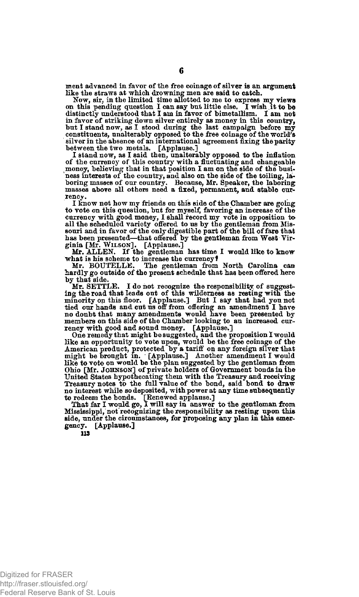ment advanced in favor of the free coinage of silver is an argument

like the straws at which drowning men are said to catch.<br>Now, sir, in the limited time allotted to me to express my views<br>on this pending question I can say but little else. I wish it to be<br>distinctly understood that I am in favor of striking down silver entirely as money in this country, but I stand now, as I stood during the last campaign before my constituents, unalterably opposed to the free coinage of the world's silver in the absence of an international agreement fixing the parity

between the two metals. [Applause.] I stand now, as I said then, unalterably opposed to the inflation of the currency of this country with a fluctuating and changeable money, believing that in that position I am on the side of the business interests of the country, and also on the side of the toiling, la-boring masses of our country. Because, Mr. Speaker, the laboring masses above all others need a fixed, permanent, and stable currency.

I know not how my friends on this side of the Chamber are going to vote on this question, but for myself, favoring an increase of the currency with good money, I shall record my vote in opposition to all the scheduled variety offered to us by the gentleman from Missionri and in favor o

ginia [Mr. WILSON]. [Applause.] Mr. ALLEN. If the gentleman has time 1 would like to know

what is his scheme to increase the currency?<br>Mr. BOUTELLE. The gentleman from North Carolina can hardly go outside of the present schedule that has been offered here by that side.

Mr. SETTLE. I do not recognize the responsibility of suggesting the road that leads out of this wilderness as resting with the minority on this floor. [Applause.] But I say that had you not tied our hands and cut us off fr

rency with good and sound money. [Applause.]<br>One remedy that might be suggested, and the proposition I would<br>like an opportunity to vote upon, would be the free coinage of the<br>American product, protected by a tariff on any Ohio [Mr. JOHNSON] of private holders of Government bonds in the United States hypothecating them with the Treasury and receiving Treasury notes to the full value of the bond, said bond to draw no interest while so deposited, with power at any time subsequently

to redeem the bonds. [Renewed applause.] That far I would go, I will say in answer to the gentleman from Mississippi, not recognizing the responsibility as resting upon this side, under the circumstances, for proposing any plan in this emergency. [Applause.]

**113** 

Digitized for FRASER http://fraser.stlouisfed.org/ Federal Reserve Bank of St. Louis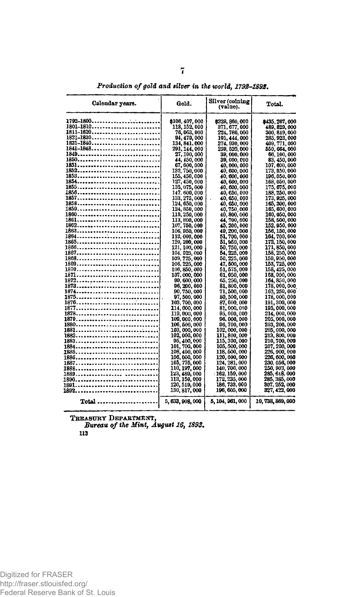| Calendar years.         | Gold.                          | Silver (colning<br>(value).    | Total.                         |
|-------------------------|--------------------------------|--------------------------------|--------------------------------|
|                         | \$106,407,000                  | \$328, 860, 000                | \$435, 267, 000                |
| 1801–1810…………………………     | 118, 152, 000                  | 371, 677, 000                  | 489, 829, 000                  |
| <u>1811-1820</u>        | 76, 063, 000                   | 224, 786, 000                  | 300, 849, 000                  |
| .1821-1830<br>1831-1840 | 94, 479, 000<br>134, 841, 000  | 191, 444, 000<br>274, 930, 000 | 285, 923, 000<br>409, 771, 000 |
|                         | 291, 144, 000                  | 259, 520, 000                  | 550. 664. 000                  |
|                         | 27, 100, 000                   | 39, 000, 000                   | 66, 100, 000                   |
| 1850                    | 44, 450, 000                   | 39. OOO. COO                   | 83. 450. 000                   |
| 1851                    | 67, 600, 000                   | 40, 000, 000                   | 107, 600, 000                  |
| 1852 <b></b> .          | 132, 750, 000                  | 40, 600, 000                   | 173, 350, 000                  |
| 1853                    | 155, 450, 000                  | 40, 600, 000                   | 196, 050, 000                  |
| 1855 <b></b> .          | 127, 450, 000<br>135, 075, 000 | 40, 600, 000<br>40, 600, 000   | 168, 050, 000<br>175, 675, 000 |
|                         | 147. 600, 000                  | 40. 650, 000                   | 188, 250, 000                  |
|                         | 133, 275, 000                  | 40, 650, 000                   | 173, 925, 000                  |
|                         | 124, 650, 000                  | 40, 650, 000                   | 165, 300, 000                  |
|                         | 124, 850, 000                  | 40,750,000                     | 165, 600, 000                  |
| 1860                    | 119, 250, 000                  | 40, 800, 000                   | 160.050,000                    |
|                         | 113, 800, 000                  | 44, 700, 000                   | 158, 500, 000                  |
| 1862                    | 107, 750, 000<br>106, 950, 000 | 45, 200, 000<br>49, 200, 000   | 152. 950. 000<br>156, 150, 000 |
| 1864                    | 113, 000, 000                  | 51, 700, 000                   | 164, 700, 000                  |
|                         | 120, 200, 000                  | 51, 550, 000                   | 172, 150, 000                  |
| 1866                    | 121, 100, 000                  | 50, 750, 000                   | 171, 850, 000                  |
| 1867                    | 104, 025, 000                  | 54, 225, 000                   | 158, 250, 000                  |
| 1868                    | 109, 725, 000                  | 50, 225, 000                   | 159, 950, 000                  |
|                         | 106, 225, 000                  | 47, 500, 000                   | 153, 725, 000                  |
| 1870 <b></b>            | 106, 850, 000<br>107, 000, 000 | 51. 575. 000<br>61, 050, 000   | 158, 425, 000<br>168, 050, 000 |
|                         | 99, 600, 000                   | 65, 250, 000                   | 164, 850, 000                  |
|                         | 96, 200, 000                   | <b>81, 800, 000</b>            | 178.000.000                    |
|                         | 90, 750, 000                   | 71, 500, 000                   | 162, 250, 000                  |
|                         | 97, 500, 000                   | 80, 500, 000                   | 178, 000, 000                  |
|                         | 103, 700, 000                  | 87. 600. 000                   | 191, 300, 000                  |
|                         | 114,000,000                    | 81, 000, 000<br>95, 000, 000   | 195, 000, 000<br>214, 000, 000 |
|                         | 119, 000, 000<br>109, 000, 000 | 96, 000, 000                   | 205, 000, 000                  |
| 1880                    | 106, 500, 000                  | 96, 700, 000                   | 203, 200, 000                  |
|                         | 103,000,000                    | 102, 000, 000                  | 205, 000, 000                  |
|                         | 102, 000, 000                  | 111, 800, 000                  | 213, 800, 000                  |
|                         | 95, 400, 000                   | 115, 300, 000                  | 210, 700, 000                  |
|                         | 101, 700, 000                  | 105, 500, 000                  | 207, 200, 000                  |
|                         | 108, 400, 000<br>106, 000, 000 | 118, 500, 000<br>120, 600, 000 | 226, 900, 000<br>226, 600, 000 |
|                         | 105, 775, 000                  | 124, 281, 000                  | 230. 056. 000                  |
| 1888. <b>.</b>          | 110, 197, 000                  | 140, 700, 000                  | 250, 903, 000                  |
|                         | 123, 489, 000                  | 162, 159, 000                  | 235, 618, 000                  |
|                         | 113, 150, 000                  | 172, 235, 000                  | 285, 385, 000                  |
|                         | 120, 519, 000                  | 186, 733, 000                  | 307, 252, 000                  |
|                         | 130, 817, 000                  | 196, 605, 000                  | 327, 422, 000                  |
| Total <i></i> .         | 5, 633, 906, 000               | 5, 104, 961, 000               | 10, 738, 869, 000              |

*Production of gold and silver in the world, 179B-189S.* 

**TREASURY DEPARTMENT,**  *Bureau of the Mint, August 16,1893.* 

**113**